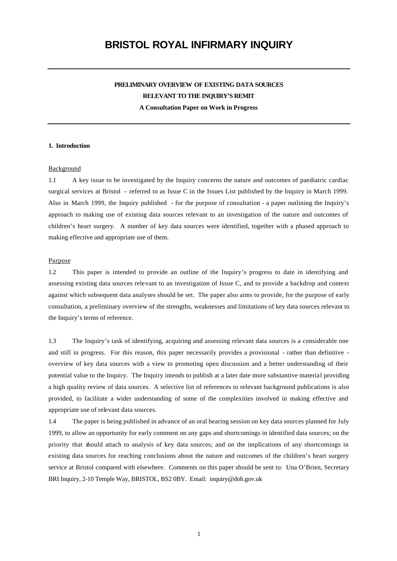# **BRISTOL ROYAL INFIRMARY INQUIRY**

## **PRELIMINARY OVERVIEW OF EXISTING DATA SOURCES RELEVANT TO THE INQUIRY'S REMIT A Consultation Paper on Work in Progress**

#### **1. Introduction**

#### Background

1.1 A key issue to be investigated by the Inquiry concerns the nature and outcomes of paediatric cardiac surgical services at Bristol – referred to as Issue C in the Issues List published by the Inquiry in March 1999. Also in March 1999, the Inquiry published - for the purpose of consultation - a paper outlining the Inquiry's approach to making use of existing data sources relevant to an investigation of the nature and outcomes of children's heart surgery. A number of key data sources were identified, together with a phased approach to making effective and appropriate use of them.

## Purpose

1.2 This paper is intended to provide an outline of the Inquiry's progress to date in identifying and assessing existing data sources relevant to an investigation of Issue C, and to provide a backdrop and context against which subsequent data analyses should be set. The paper also aims to provide, for the purpose of early consultation, a preliminary overview of the strengths, weaknesses and limitations of key data sources relevant to the Inquiry's terms of reference.

1.3 The Inquiry's task of identifying, acquiring and assessing relevant data sources is a considerable one and still in progress. For this reason, this paper necessarily provides a provisional - rather than definitive overview of key data sources with a view to promoting open discussion and a better understanding of their potential value to the Inquiry. The Inquiry intends to publish at a later date more substantive material providing a high quality review of data sources. A selective list of references to relevant background publications is also provided, to facilitate a wider understanding of some of the complexities involved in making effective and appropriate use of relevant data sources.

1.4 The paper is being published in advance of an oral hearing session on key data sources planned for July 1999, to allow an opportunity for early comment on any gaps and shortcomings in identified data sources; on the priority that should attach to analysis of key data sources; and on the implications of any shortcomings in existing data sources for reaching conclusions about the nature and outcomes of the children's heart surgery service at Bristol compared with elsewhere. Comments on this paper should be sent to: Una O'Brien, Secretary BRI Inquiry, 2-10 Temple Way, BRISTOL, BS2 0BY. Email: inquiry@doh.gov.uk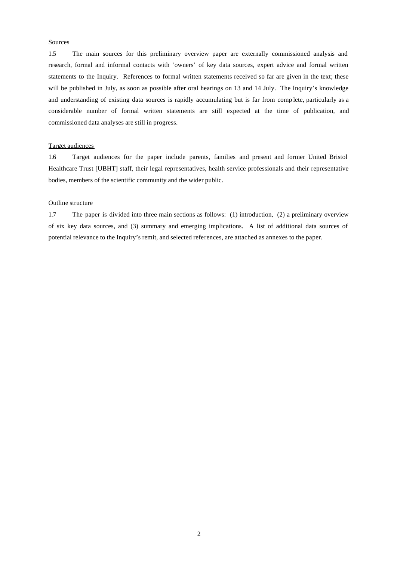#### Sources

1.5 The main sources for this preliminary overview paper are externally commissioned analysis and research, formal and informal contacts with 'owners' of key data sources, expert advice and formal written statements to the Inquiry. References to formal written statements received so far are given in the text; these will be published in July, as soon as possible after oral hearings on 13 and 14 July. The Inquiry's knowledge and understanding of existing data sources is rapidly accumulating but is far from comp lete, particularly as a considerable number of formal written statements are still expected at the time of publication, and commissioned data analyses are still in progress.

## Target audiences

1.6 Target audiences for the paper include parents, families and present and former United Bristol Healthcare Trust [UBHT] staff, their legal representatives, health service professionals and their representative bodies, members of the scientific community and the wider public.

## Outline structure

1.7 The paper is divided into three main sections as follows: (1) introduction, (2) a preliminary overview of six key data sources, and (3) summary and emerging implications. A list of additional data sources of potential relevance to the Inquiry's remit, and selected references, are attached as annexes to the paper.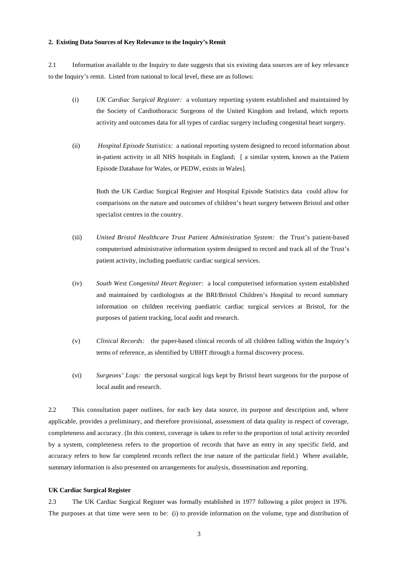#### **2. Existing Data Sources of Key Relevance to the Inquiry's Remit**

2.1 Information available to the Inquiry to date suggests that six existing data sources are of key relevance to the Inquiry's remit. Listed from national to local level, these are as follows:

- (i) *UK Cardiac Surgical Register:* a voluntary reporting system established and maintained by the Society of Cardiothoracic Surgeons of the United Kingdom and Ireland, which reports activity and outcomes data for all types of cardiac surgery including congenital heart surgery.
- (ii) *Hospital Episode Statistics:* a national reporting system designed to record information about in-patient activity in all NHS hospitals in England; [ a similar system, known as the Patient Episode Database for Wales, or PEDW, exists in Wales].

Both the UK Cardiac Surgical Register and Hospital Episode Statistics data could allow for comparisons on the nature and outcomes of children's heart surgery between Bristol and other specialist centres in the country.

- (iii) *United Bristol Healthcare Trust Patient Administration System:* the Trust's patient-based computerised administrative information system designed to record and track all of the Trust's patient activity, including paediatric cardiac surgical services.
- (iv) *South West Congenital Heart Register:* a local computerised information system established and maintained by cardiologists at the BRI/Bristol Children's Hospital to record summary information on children receiving paediatric cardiac surgical services at Bristol, for the purposes of patient tracking, local audit and research.
- (v) *Clinical Records:* the paper-based clinical records of all children falling within the Inquiry's terms of reference, as identified by UBHT through a formal discovery process.
- (vi) *Surgeons' Logs:* the personal surgical logs kept by Bristol heart surgeons for the purpose of local audit and research.

2.2 This consultation paper outlines, for each key data source, its purpose and description and, where applicable, provides a preliminary, and therefore provisional, assessment of data quality in respect of coverage, completeness and accuracy. (In this context, coverage is taken to refer to the proportion of total activity recorded by a system, completeness refers to the proportion of records that have an entry in any specific field, and accuracy refers to how far completed records reflect the true nature of the particular field.) Where available, summary information is also presented on arrangements for analysis, dissemination and reporting.

#### **UK Cardiac Surgical Register**

2.3 The UK Cardiac Surgical Register was formally established in 1977 following a pilot project in 1976. The purposes at that time were seen to be: (i) to provide information on the volume, type and distribution of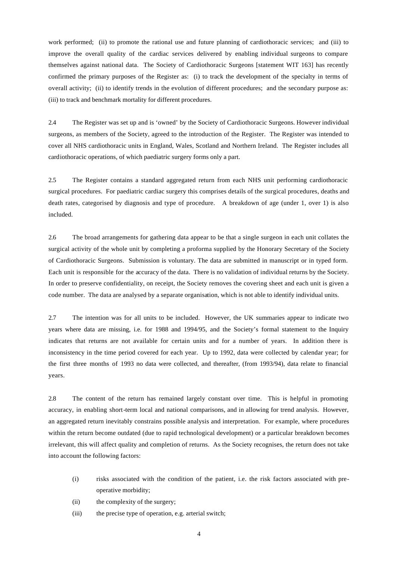work performed; (ii) to promote the rational use and future planning of cardiothoracic services; and (iii) to improve the overall quality of the cardiac services delivered by enabling individual surgeons to compare themselves against national data. The Society of Cardiothoracic Surgeons [statement WIT 163] has recently confirmed the primary purposes of the Register as: (i) to track the development of the specialty in terms of overall activity; (ii) to identify trends in the evolution of different procedures; and the secondary purpose as: (iii) to track and benchmark mortality for different procedures.

2.4 The Register was set up and is 'owned' by the Society of Cardiothoracic Surgeons. However individual surgeons, as members of the Society, agreed to the introduction of the Register. The Register was intended to cover all NHS cardiothoracic units in England, Wales, Scotland and Northern Ireland. The Register includes all cardiothoracic operations, of which paediatric surgery forms only a part.

2.5 The Register contains a standard aggregated return from each NHS unit performing cardiothoracic surgical procedures. For paediatric cardiac surgery this comprises details of the surgical procedures, deaths and death rates, categorised by diagnosis and type of procedure. A breakdown of age (under 1, over 1) is also included.

2.6 The broad arrangements for gathering data appear to be that a single surgeon in each unit collates the surgical activity of the whole unit by completing a proforma supplied by the Honorary Secretary of the Society of Cardiothoracic Surgeons. Submission is voluntary. The data are submitted in manuscript or in typed form. Each unit is responsible for the accuracy of the data. There is no validation of individual returns by the Society. In order to preserve confidentiality, on receipt, the Society removes the covering sheet and each unit is given a code number. The data are analysed by a separate organisation, which is not able to identify individual units.

2.7 The intention was for all units to be included. However, the UK summaries appear to indicate two years where data are missing, i.e. for 1988 and 1994/95, and the Society's formal statement to the Inquiry indicates that returns are not available for certain units and for a number of years. In addition there is inconsistency in the time period covered for each year. Up to 1992, data were collected by calendar year; for the first three months of 1993 no data were collected, and thereafter, (from 1993/94), data relate to financial years.

2.8 The content of the return has remained largely constant over time. This is helpful in promoting accuracy, in enabling short-term local and national comparisons, and in allowing for trend analysis. However, an aggregated return inevitably constrains possible analysis and interpretation. For example, where procedures within the return become outdated (due to rapid technological development) or a particular breakdown becomes irrelevant, this will affect quality and completion of returns. As the Society recognises, the return does not take into account the following factors:

- (i) risks associated with the condition of the patient, i.e. the risk factors associated with preoperative morbidity;
- (ii) the complexity of the surgery;
- (iii) the precise type of operation, e.g. arterial switch;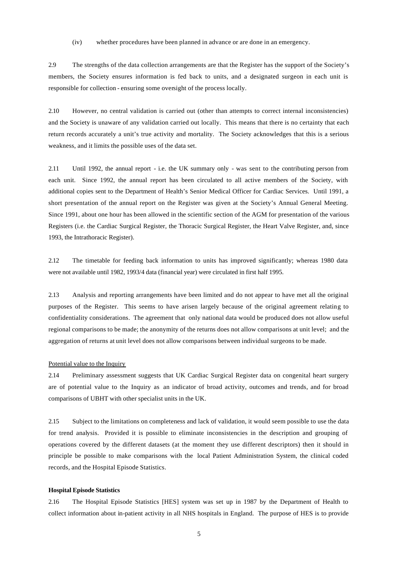(iv) whether procedures have been planned in advance or are done in an emergency.

2.9 The strengths of the data collection arrangements are that the Register has the support of the Society's members, the Society ensures information is fed back to units, and a designated surgeon in each unit is responsible for collection - ensuring some oversight of the process locally.

2.10 However, no central validation is carried out (other than attempts to correct internal inconsistencies) and the Society is unaware of any validation carried out locally. This means that there is no certainty that each return records accurately a unit's true activity and mortality. The Society acknowledges that this is a serious weakness, and it limits the possible uses of the data set.

2.11 Until 1992, the annual report - i.e. the UK summary only - was sent to the contributing person from each unit. Since 1992, the annual report has been circulated to all active members of the Society, with additional copies sent to the Department of Health's Senior Medical Officer for Cardiac Services. Until 1991, a short presentation of the annual report on the Register was given at the Society's Annual General Meeting. Since 1991, about one hour has been allowed in the scientific section of the AGM for presentation of the various Registers (i.e. the Cardiac Surgical Register, the Thoracic Surgical Register, the Heart Valve Register, and, since 1993, the Intrathoracic Register).

2.12 The timetable for feeding back information to units has improved significantly; whereas 1980 data were not available until 1982, 1993/4 data (financial year) were circulated in first half 1995.

2.13 Analysis and reporting arrangements have been limited and do not appear to have met all the original purposes of the Register. This seems to have arisen largely because of the original agreement relating to confidentiality considerations. The agreement that only national data would be produced does not allow useful regional comparisons to be made; the anonymity of the returns does not allow comparisons at unit level; and the aggregation of returns at unit level does not allow comparisons between individual surgeons to be made.

#### Potential value to the Inquiry

2.14 Preliminary assessment suggests that UK Cardiac Surgical Register data on congenital heart surgery are of potential value to the Inquiry as an indicator of broad activity, outcomes and trends, and for broad comparisons of UBHT with other specialist units in the UK.

2.15 Subject to the limitations on completeness and lack of validation, it would seem possible to use the data for trend analysis. Provided it is possible to eliminate inconsistencies in the description and grouping of operations covered by the different datasets (at the moment they use different descriptors) then it should in principle be possible to make comparisons with the local Patient Administration System, the clinical coded records, and the Hospital Episode Statistics.

#### **Hospital Episode Statistics**

2.16 The Hospital Episode Statistics [HES] system was set up in 1987 by the Department of Health to collect information about in-patient activity in all NHS hospitals in England. The purpose of HES is to provide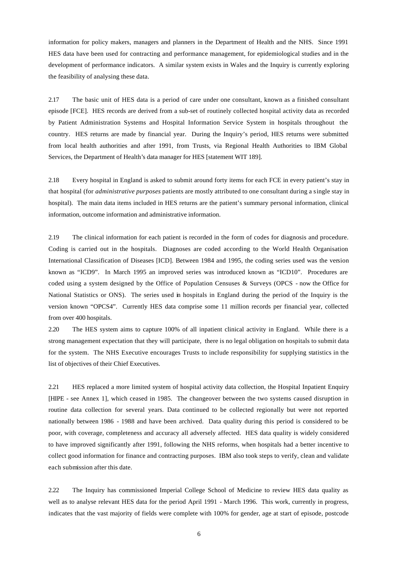information for policy makers, managers and planners in the Department of Health and the NHS. Since 1991 HES data have been used for contracting and performance management, for epidemiological studies and in the development of performance indicators. A similar system exists in Wales and the Inquiry is currently exploring the feasibility of analysing these data.

2.17 The basic unit of HES data is a period of care under one consultant, known as a finished consultant episode [FCE]. HES records are derived from a sub-set of routinely collected hospital activity data as recorded by Patient Administration Systems and Hospital Information Service System in hospitals throughout the country. HES returns are made by financial year. During the Inquiry's period, HES returns were submitted from local health authorities and after 1991, from Trusts, via Regional Health Authorities to IBM Global Services, the Department of Health's data manager for HES [statement WIT 189].

2.18 Every hospital in England is asked to submit around forty items for each FCE in every patient's stay in that hospital (for *administrative purposes* patients are mostly attributed to one consultant during a single stay in hospital). The main data items included in HES returns are the patient's summary personal information, clinical information, outcome information and administrative information.

2.19 The clinical information for each patient is recorded in the form of codes for diagnosis and procedure. Coding is carried out in the hospitals. Diagnoses are coded according to the World Health Organisation International Classification of Diseases [ICD]. Between 1984 and 1995, the coding series used was the version known as "ICD9". In March 1995 an improved series was introduced known as "ICD10". Procedures are coded using a system designed by the Office of Population Censuses & Surveys (OPCS - now the Office for National Statistics or ONS). The series used in hospitals in England during the period of the Inquiry is the version known "OPCS4". Currently HES data comprise some 11 million records per financial year, collected from over 400 hospitals.

2.20 The HES system aims to capture 100% of all inpatient clinical activity in England. While there is a strong management expectation that they will participate, there is no legal obligation on hospitals to submit data for the system. The NHS Executive encourages Trusts to include responsibility for supplying statistics in the list of objectives of their Chief Executives.

2.21 HES replaced a more limited system of hospital activity data collection, the Hospital Inpatient Enquiry [HIPE - see Annex 1], which ceased in 1985. The changeover between the two systems caused disruption in routine data collection for several years. Data continued to be collected regionally but were not reported nationally between 1986 - 1988 and have been archived. Data quality during this period is considered to be poor, with coverage, completeness and accuracy all adversely affected. HES data quality is widely considered to have improved significantly after 1991, following the NHS reforms, when hospitals had a better incentive to collect good information for finance and contracting purposes. IBM also took steps to verify, clean and validate each submission after this date.

2.22 The Inquiry has commissioned Imperial College School of Medicine to review HES data quality as well as to analyse relevant HES data for the period April 1991 - March 1996. This work, currently in progress, indicates that the vast majority of fields were complete with 100% for gender, age at start of episode, postcode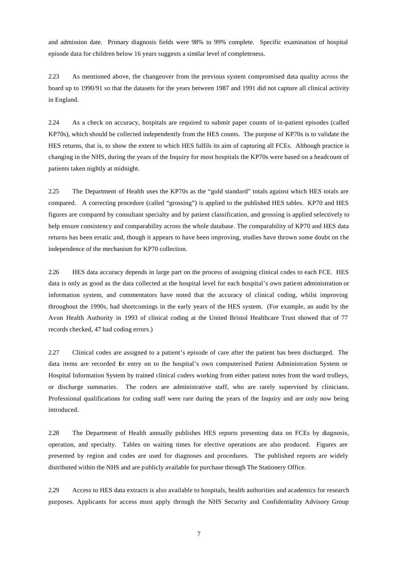and admission date. Primary diagnosis fields were 98% to 99% complete. Specific examination of hospital episode data for children below 16 years suggests a similar level of completeness.

2.23 As mentioned above, the changeover from the previous system compromised data quality across the board up to 1990/91 so that the datasets for the years between 1987 and 1991 did not capture all clinical activity in England.

2.24 As a check on accuracy, hospitals are required to submit paper counts of in-patient episodes (called KP70s), which should be collected independently from the HES counts. The purpose of KP70s is to validate the HES returns, that is, to show the extent to which HES fulfils its aim of capturing all FCEs. Although practice is changing in the NHS, during the years of the Inquiry for most hospitals the KP70s were based on a headcount of patients taken nightly at midnight.

2.25 The Department of Health uses the KP70s as the "gold standard" totals against which HES totals are compared. A correcting procedure (called "grossing") is applied to the published HES tables. KP70 and HES figures are compared by consultant specialty and by patient classification, and grossing is applied selectively to help ensure consistency and comparability across the whole database. The comparability of KP70 and HES data returns has been erratic and, though it appears to have been improving, studies have thrown some doubt on the independence of the mechanism for KP70 collection.

2.26 HES data accuracy depends in large part on the process of assigning clinical codes to each FCE. HES data is only as good as the data collected at the hospital level for each hospital's own patient administration or information system, and commentators have noted that the accuracy of clinical coding, whilst improving throughout the 1990s, had shortcomings in the early years of the HES system. (For example, an audit by the Avon Health Authority in 1993 of clinical coding at the United Bristol Healthcare Trust showed that of 77 records checked, 47 had coding errors.)

2.27 Clinical codes are assigned to a patient's episode of care after the patient has been discharged. The data items are recorded for entry on to the hospital's own computerised Patient Administration System or Hospital Information System by trained clinical coders working from either patient notes from the ward trolleys, or discharge summaries. The coders are administrative staff, who are rarely supervised by clinicians. Professional qualifications for coding staff were rare during the years of the Inquiry and are only now being introduced.

2.28 The Department of Health annually publishes HES reports presenting data on FCEs by diagnosis, operation, and specialty. Tables on waiting times for elective operations are also produced. Figures are presented by region and codes are used for diagnoses and procedures. The published reports are widely distributed within the NHS and are publicly available for purchase through The Stationery Office.

2.29 Access to HES data extracts is also available to hospitals, health authorities and academics for research purposes. Applicants for access must apply through the NHS Security and Confidentiality Advisory Group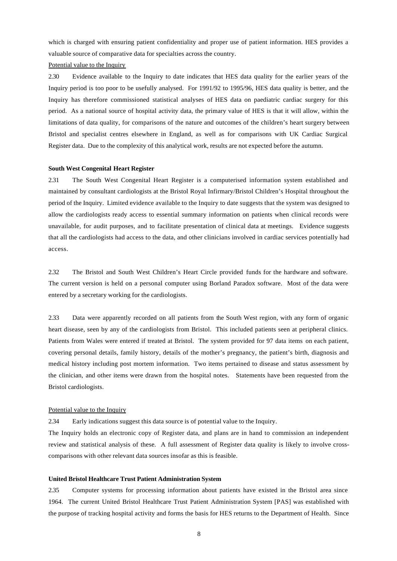which is charged with ensuring patient confidentiality and proper use of patient information. HES provides a valuable source of comparative data for specialties across the country.

#### Potential value to the Inquiry

2.30 Evidence available to the Inquiry to date indicates that HES data quality for the earlier years of the Inquiry period is too poor to be usefully analysed. For 1991/92 to 1995/96, HES data quality is better, and the Inquiry has therefore commissioned statistical analyses of HES data on paediatric cardiac surgery for this period. As a national source of hospital activity data, the primary value of HES is that it will allow, within the limitations of data quality, for comparisons of the nature and outcomes of the children's heart surgery between Bristol and specialist centres elsewhere in England, as well as for comparisons with UK Cardiac Surgical Register data. Due to the complexity of this analytical work, results are not expected before the autumn.

#### **South West Congenital Heart Register**

2.31 The South West Congenital Heart Register is a computerised information system established and maintained by consultant cardiologists at the Bristol Royal Infirmary/Bristol Children's Hospital throughout the period of the Inquiry. Limited evidence available to the Inquiry to date suggests that the system was designed to allow the cardiologists ready access to essential summary information on patients when clinical records were unavailable, for audit purposes, and to facilitate presentation of clinical data at meetings. Evidence suggests that all the cardiologists had access to the data, and other clinicians involved in cardiac services potentially had access.

2.32 The Bristol and South West Children's Heart Circle provided funds for the hardware and software. The current version is held on a personal computer using Borland Paradox software. Most of the data were entered by a secretary working for the cardiologists.

2.33 Data were apparently recorded on all patients from the South West region, with any form of organic heart disease, seen by any of the cardiologists from Bristol. This included patients seen at peripheral clinics. Patients from Wales were entered if treated at Bristol. The system provided for 97 data items on each patient, covering personal details, family history, details of the mother's pregnancy, the patient's birth, diagnosis and medical history including post mortem information. Two items pertained to disease and status assessment by the clinician, and other items were drawn from the hospital notes. Statements have been requested from the Bristol cardiologists.

#### Potential value to the Inquiry

2.34 Early indications suggest this data source is of potential value to the Inquiry.

The Inquiry holds an electronic copy of Register data, and plans are in hand to commission an independent review and statistical analysis of these. A full assessment of Register data quality is likely to involve crosscomparisons with other relevant data sources insofar as this is feasible.

#### **United Bristol Healthcare Trust Patient Administration System**

2.35 Computer systems for processing information about patients have existed in the Bristol area since 1964. The current United Bristol Healthcare Trust Patient Administration System [PAS] was established with the purpose of tracking hospital activity and forms the basis for HES returns to the Department of Health. Since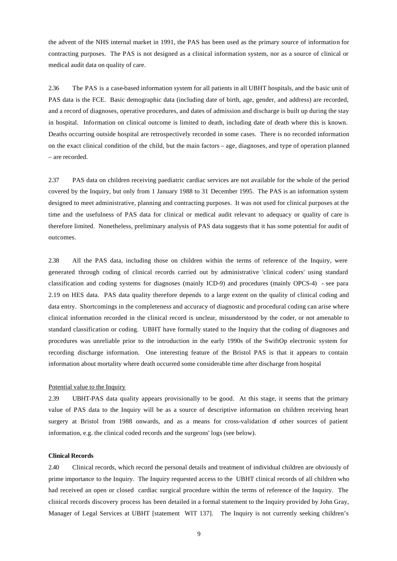the advent of the NHS internal market in 1991, the PAS has been used as the primary source of information for contracting purposes. The PAS is not designed as a clinical information system, nor as a source of clinical or medical audit data on quality of care.

2.36 The PAS is a case-based information system for all patients in all UBHT hospitals, and the basic unit of PAS data is the FCE. Basic demographic data (including date of birth, age, gender, and address) are recorded, and a record of diagnoses, operative procedures, and dates of admission and discharge is built up during the stay in hospital. Information on clinical outcome is limited to death, including date of death where this is known. Deaths occurring outside hospital are retrospectively recorded in some cases. There is no recorded information on the exact clinical condition of the child, but the main factors – age, diagnoses, and type of operation planned – are recorded.

2.37 PAS data on children receiving paediatric cardiac services are not available for the whole of the period covered by the Inquiry, but only from 1 January 1988 to 31 December 1995. The PAS is an information system designed to meet administrative, planning and contracting purposes. It was not used for clinical purposes at the time and the usefulness of PAS data for clinical or medical audit relevant to adequacy or quality of care is therefore limited. Nonetheless, preliminary analysis of PAS data suggests that it has some potential for audit of outcomes.

2.38 All the PAS data, including those on children within the terms of reference of the Inquiry, were generated through coding of clinical records carried out by administrative 'clinical coders' using standard classification and coding systems for diagnoses (mainly ICD-9) and procedures (mainly OPCS-4) - see para 2.19 on HES data. PAS data quality therefore depends to a large extent on the quality of clinical coding and data entry. Shortcomings in the completeness and accuracy of diagnostic and procedural coding can arise where clinical information recorded in the clinical record is unclear, misunderstood by the coder, or not amenable to standard classification or coding. UBHT have formally stated to the Inquiry that the coding of diagnoses and procedures was unreliable prior to the introduction in the early 1990s of the SwiftOp electronic system for recording discharge information. One interesting feature of the Bristol PAS is that it appears to contain information about mortality where death occurred some considerable time after discharge from hospital

#### Potential value to the Inquiry

2.39 UBHT-PAS data quality appears provisionally to be good. At this stage, it seems that the primary value of PAS data to the Inquiry will be as a source of descriptive information on children receiving heart surgery at Bristol from 1988 onwards, and as a means for cross-validation of other sources of patient information, e.g. the clinical coded records and the surgeons' logs (see below).

#### **Clinical Records**

2.40 Clinical records, which record the personal details and treatment of individual children are obviously of prime importance to the Inquiry. The Inquiry requested access to the UBHT clinical records of all children who had received an open or closed cardiac surgical procedure within the terms of reference of the Inquiry. The clinical records discovery process has been detailed in a formal statement to the Inquiry provided by John Gray, Manager of Legal Services at UBHT [statement WIT 137]. The Inquiry is not currently seeking children's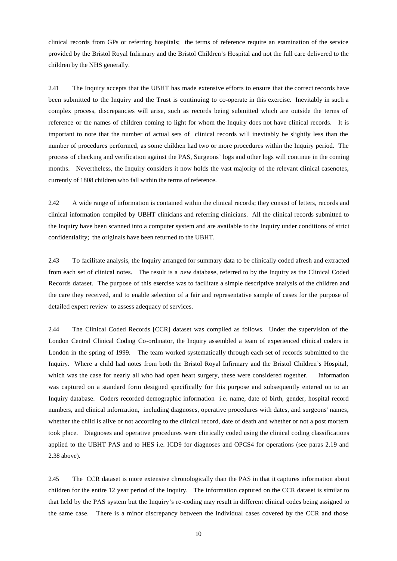clinical records from GPs or referring hospitals; the terms of reference require an examination of the service provided by the Bristol Royal Infirmary and the Bristol Children's Hospital and not the full care delivered to the children by the NHS generally.

2.41 The Inquiry accepts that the UBHT has made extensive efforts to ensure that the correct records have been submitted to the Inquiry and the Trust is continuing to co-operate in this exercise. Inevitably in such a complex process, discrepancies will arise, such as records being submitted which are outside the terms of reference or the names of children coming to light for whom the Inquiry does not have clinical records. It is important to note that the number of actual sets of clinical records will inevitably be slightly less than the number of procedures performed, as some children had two or more procedures within the Inquiry period. The process of checking and verification against the PAS, Surgeons' logs and other logs will continue in the coming months. Nevertheless, the Inquiry considers it now holds the vast majority of the relevant clinical casenotes, currently of 1808 children who fall within the terms of reference.

2.42 A wide range of information is contained within the clinical records; they consist of letters, records and clinical information compiled by UBHT clinicians and referring clinicians. All the clinical records submitted to the Inquiry have been scanned into a computer system and are available to the Inquiry under conditions of strict confidentiality; the originals have been returned to the UBHT.

2.43 To facilitate analysis, the Inquiry arranged for summary data to be clinically coded afresh and extracted from each set of clinical notes. The result is a *new* database, referred to by the Inquiry as the Clinical Coded Records dataset. The purpose of this exercise was to facilitate a simple descriptive analysis of the children and the care they received, and to enable selection of a fair and representative sample of cases for the purpose of detailed expert review to assess adequacy of services.

2.44 The Clinical Coded Records [CCR] dataset was compiled as follows. Under the supervision of the London Central Clinical Coding Co-ordinator, the Inquiry assembled a team of experienced clinical coders in London in the spring of 1999. The team worked systematically through each set of records submitted to the Inquiry. Where a child had notes from both the Bristol Royal Infirmary and the Bristol Children's Hospital, which was the case for nearly all who had open heart surgery, these were considered together. Information was captured on a standard form designed specifically for this purpose and subsequently entered on to an Inquiry database. Coders recorded demographic information i.e. name, date of birth, gender, hospital record numbers, and clinical information, including diagnoses, operative procedures with dates, and surgeons' names, whether the child is alive or not according to the clinical record, date of death and whether or not a post mortem took place. Diagnoses and operative procedures were clinically coded using the clinical coding classifications applied to the UBHT PAS and to HES i.e. ICD9 for diagnoses and OPCS4 for operations (see paras 2.19 and 2.38 above).

2.45 The CCR dataset is more extensive chronologically than the PAS in that it captures information about children for the entire 12 year period of the Inquiry. The information captured on the CCR dataset is similar to that held by the PAS system but the Inquiry's re-coding may result in different clinical codes being assigned to the same case. There is a minor discrepancy between the individual cases covered by the CCR and those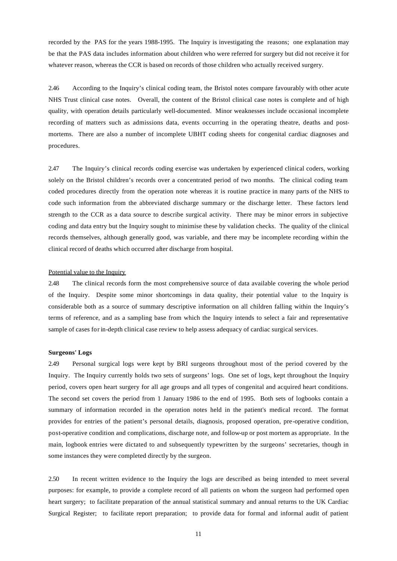recorded by the PAS for the years 1988-1995. The Inquiry is investigating the reasons; one explanation may be that the PAS data includes information about children who were referred for surgery but did not receive it for whatever reason, whereas the CCR is based on records of those children who actually received surgery.

2.46 According to the Inquiry's clinical coding team, the Bristol notes compare favourably with other acute NHS Trust clinical case notes. Overall, the content of the Bristol clinical case notes is complete and of high quality, with operation details particularly well-documented. Minor weaknesses include occasional incomplete recording of matters such as admissions data, events occurring in the operating theatre, deaths and postmortems. There are also a number of incomplete UBHT coding sheets for congenital cardiac diagnoses and procedures.

2.47 The Inquiry's clinical records coding exercise was undertaken by experienced clinical coders, working solely on the Bristol children's records over a concentrated period of two months. The clinical coding team coded procedures directly from the operation note whereas it is routine practice in many parts of the NHS to code such information from the abbreviated discharge summary or the discharge letter. These factors lend strength to the CCR as a data source to describe surgical activity. There may be minor errors in subjective coding and data entry but the Inquiry sought to minimise these by validation checks. The quality of the clinical records themselves, although generally good, was variable, and there may be incomplete recording within the clinical record of deaths which occurred after discharge from hospital.

#### Potential value to the Inquiry

2.48 The clinical records form the most comprehensive source of data available covering the whole period of the Inquiry. Despite some minor shortcomings in data quality, their potential value to the Inquiry is considerable both as a source of summary descriptive information on all children falling within the Inquiry's terms of reference, and as a sampling base from which the Inquiry intends to select a fair and representative sample of cases for in-depth clinical case review to help assess adequacy of cardiac surgical services.

#### **Surgeons' Logs**

2.49 Personal surgical logs were kept by BRI surgeons throughout most of the period covered by the Inquiry. The Inquiry currently holds two sets of surgeons' logs. One set of logs, kept throughout the Inquiry period, covers open heart surgery for all age groups and all types of congenital and acquired heart conditions. The second set covers the period from 1 January 1986 to the end of 1995. Both sets of logbooks contain a summary of information recorded in the operation notes held in the patient's medical record. The format provides for entries of the patient's personal details, diagnosis, proposed operation, pre-operative condition, post-operative condition and complications, discharge note, and follow-up or post mortem as appropriate. In the main, logbook entries were dictated to and subsequently typewritten by the surgeons' secretaries, though in some instances they were completed directly by the surgeon.

2.50 In recent written evidence to the Inquiry the logs are described as being intended to meet several purposes: for example, to provide a complete record of all patients on whom the surgeon had performed open heart surgery; to facilitate preparation of the annual statistical summary and annual returns to the UK Cardiac Surgical Register; to facilitate report preparation; to provide data for formal and informal audit of patient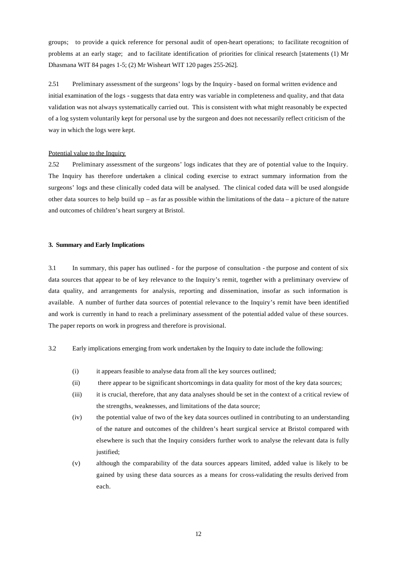groups; to provide a quick reference for personal audit of open-heart operations; to facilitate recognition of problems at an early stage; and to facilitate identification of priorities for clinical research [statements (1) Mr Dhasmana WIT 84 pages 1-5; (2) Mr Wisheart WIT 120 pages 255-262].

2.51 Preliminary assessment of the surgeons' logs by the Inquiry - based on formal written evidence and initial examination of the logs - suggests that data entry was variable in completeness and quality, and that data validation was not always systematically carried out. This is consistent with what might reasonably be expected of a log system voluntarily kept for personal use by the surgeon and does not necessarily reflect criticism of the way in which the logs were kept.

#### Potential value to the Inquiry

2.52 Preliminary assessment of the surgeons' logs indicates that they are of potential value to the Inquiry. The Inquiry has therefore undertaken a clinical coding exercise to extract summary information from the surgeons' logs and these clinically coded data will be analysed. The clinical coded data will be used alongside other data sources to help build up – as far as possible within the limitations of the data – a picture of the nature and outcomes of children's heart surgery at Bristol.

## **3. Summary and Early Implications**

3.1 In summary, this paper has outlined - for the purpose of consultation - the purpose and content of six data sources that appear to be of key relevance to the Inquiry's remit, together with a preliminary overview of data quality, and arrangements for analysis, reporting and dissemination, insofar as such information is available. A number of further data sources of potential relevance to the Inquiry's remit have been identified and work is currently in hand to reach a preliminary assessment of the potential added value of these sources. The paper reports on work in progress and therefore is provisional.

- 3.2 Early implications emerging from work undertaken by the Inquiry to date include the following:
	- (i) it appears feasible to analyse data from all the key sources outlined;
	- (ii) there appear to be significant shortcomings in data quality for most of the key data sources;
	- (iii) it is crucial, therefore, that any data analyses should be set in the context of a critical review of the strengths, weaknesses, and limitations of the data source;
	- (iv) the potential value of two of the key data sources outlined in contributing to an understanding of the nature and outcomes of the children's heart surgical service at Bristol compared with elsewhere is such that the Inquiry considers further work to analyse the relevant data is fully justified;
	- (v) although the comparability of the data sources appears limited, added value is likely to be gained by using these data sources as a means for cross-validating the results derived from each.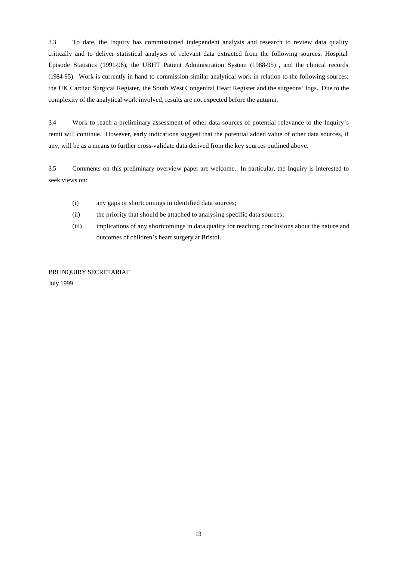3.3 To date, the Inquiry has commissioned independent analysis and research to review data quality critically and to deliver statistical analyses of relevant data extracted from the following sources: Hospital Episode Statistics (1991-96), the UBHT Patient Administration System (1988-95) , and the clinical records (1984-95). Work is currently in hand to commission similar analytical work in relation to the following sources: the UK Cardiac Surgical Register, the South West Congenital Heart Register and the surgeons' logs. Due to the complexity of the analytical work involved, results are not expected before the autumn.

3.4 Work to reach a preliminary assessment of other data sources of potential relevance to the Inquiry's remit will continue. However, early indications suggest that the potential added value of other data sources, if any, will be as a means to further cross-validate data derived from the key sources outlined above.

3.5 Comments on this preliminary overview paper are welcome. In particular, the Inquiry is interested to seek views on:

- (i) any gaps or shortcomings in identified data sources;
- (ii) the priority that should be attached to analysing specific data sources;
- (iii) implications of any shortcomings in data quality for reaching conclusions about the nature and outcomes of children's heart surgery at Bristol.

BRI INQUIRY SECRETARIAT July 1999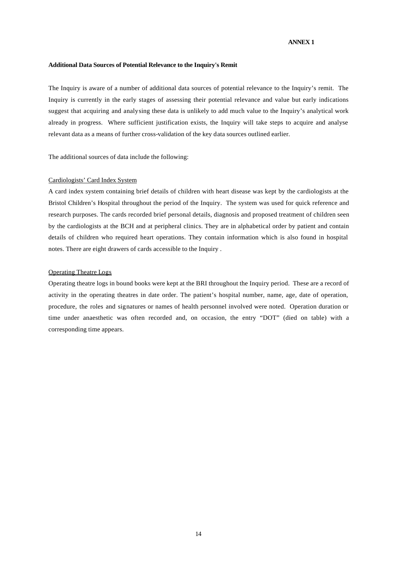## **ANNEX 1**

#### **Additional Data Sources of Potential Relevance to the Inquiry's Remit**

The Inquiry is aware of a number of additional data sources of potential relevance to the Inquiry's remit. The Inquiry is currently in the early stages of assessing their potential relevance and value but early indications suggest that acquiring and analysing these data is unlikely to add much value to the Inquiry's analytical work already in progress. Where sufficient justification exists, the Inquiry will take steps to acquire and analyse relevant data as a means of further cross-validation of the key data sources outlined earlier.

The additional sources of data include the following:

### Cardiologists' Card Index System

A card index system containing brief details of children with heart disease was kept by the cardiologists at the Bristol Children's Hospital throughout the period of the Inquiry. The system was used for quick reference and research purposes. The cards recorded brief personal details, diagnosis and proposed treatment of children seen by the cardiologists at the BCH and at peripheral clinics. They are in alphabetical order by patient and contain details of children who required heart operations. They contain information which is also found in hospital notes. There are eight drawers of cards accessible to the Inquiry .

## Operating Theatre Logs

Operating theatre logs in bound books were kept at the BRI throughout the Inquiry period. These are a record of activity in the operating theatres in date order. The patient's hospital number, name, age, date of operation, procedure, the roles and signatures or names of health personnel involved were noted. Operation duration or time under anaesthetic was often recorded and, on occasion, the entry "DOT" (died on table) with a corresponding time appears.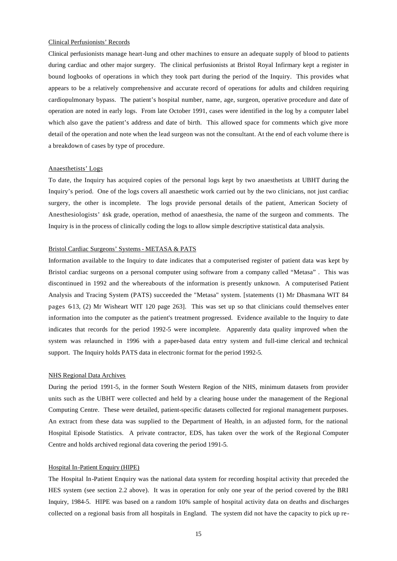#### Clinical Perfusionists' Records

Clinical perfusionists manage heart-lung and other machines to ensure an adequate supply of blood to patients during cardiac and other major surgery. The clinical perfusionists at Bristol Royal Infirmary kept a register in bound logbooks of operations in which they took part during the period of the Inquiry. This provides what appears to be a relatively comprehensive and accurate record of operations for adults and children requiring cardiopulmonary bypass. The patient's hospital number, name, age, surgeon, operative procedure and date of operation are noted in early logs. From late October 1991, cases were identified in the log by a computer label which also gave the patient's address and date of birth. This allowed space for comments which give more detail of the operation and note when the lead surgeon was not the consultant. At the end of each volume there is a breakdown of cases by type of procedure.

#### Anaesthetists' Logs

To date, the Inquiry has acquired copies of the personal logs kept by two anaesthetists at UBHT during the Inquiry's period. One of the logs covers all anaesthetic work carried out by the two clinicians, not just cardiac surgery, the other is incomplete. The logs provide personal details of the patient, American Society of Anesthesiologists' risk grade, operation, method of anaesthesia, the name of the surgeon and comments. The Inquiry is in the process of clinically coding the logs to allow simple descriptive statistical data analysis.

## Bristol Cardiac Surgeons' Systems - METASA & PATS

Information available to the Inquiry to date indicates that a computerised register of patient data was kept by Bristol cardiac surgeons on a personal computer using software from a company called "Metasa" . This was discontinued in 1992 and the whereabouts of the information is presently unknown. A computerised Patient Analysis and Tracing System (PATS) succeeded the "Metasa" system. [statements (1) Mr Dhasmana WIT 84 pages 613, (2) Mr Wisheart WIT 120 page 263]. This was set up so that clinicians could themselves enter information into the computer as the patient's treatment progressed. Evidence available to the Inquiry to date indicates that records for the period 1992-5 were incomplete. Apparently data quality improved when the system was relaunched in 1996 with a paper-based data entry system and full-time clerical and technical support. The Inquiry holds PATS data in electronic format for the period 1992-5.

#### NHS Regional Data Archives

During the period 1991-5, in the former South Western Region of the NHS, minimum datasets from provider units such as the UBHT were collected and held by a clearing house under the management of the Regional Computing Centre. These were detailed, patient-specific datasets collected for regional management purposes. An extract from these data was supplied to the Department of Health, in an adjusted form, for the national Hospital Episode Statistics. A private contractor, EDS, has taken over the work of the Regional Computer Centre and holds archived regional data covering the period 1991-5.

#### Hospital In-Patient Enquiry (HIPE)

The Hospital In-Patient Enquiry was the national data system for recording hospital activity that preceded the HES system (see section 2.2 above). It was in operation for only one year of the period covered by the BRI Inquiry, 1984-5. HIPE was based on a random 10% sample of hospital activity data on deaths and discharges collected on a regional basis from all hospitals in England. The system did not have the capacity to pick up re-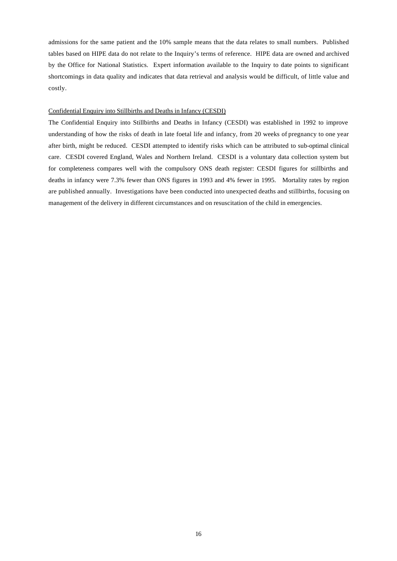admissions for the same patient and the 10% sample means that the data relates to small numbers. Published tables based on HIPE data do not relate to the Inquiry's terms of reference. HIPE data are owned and archived by the Office for National Statistics. Expert information available to the Inquiry to date points to significant shortcomings in data quality and indicates that data retrieval and analysis would be difficult, of little value and costly.

#### Confidential Enquiry into Stillbirths and Deaths in Infancy (CESDI)

The Confidential Enquiry into Stillbirths and Deaths in Infancy (CESDI) was established in 1992 to improve understanding of how the risks of death in late foetal life and infancy, from 20 weeks of pregnancy to one year after birth, might be reduced. CESDI attempted to identify risks which can be attributed to sub-optimal clinical care. CESDI covered England, Wales and Northern Ireland. CESDI is a voluntary data collection system but for completeness compares well with the compulsory ONS death register: CESDI figures for stillbirths and deaths in infancy were 7.3% fewer than ONS figures in 1993 and 4% fewer in 1995. Mortality rates by region are published annually. Investigations have been conducted into unexpected deaths and stillbirths, focusing on management of the delivery in different circumstances and on resuscitation of the child in emergencies.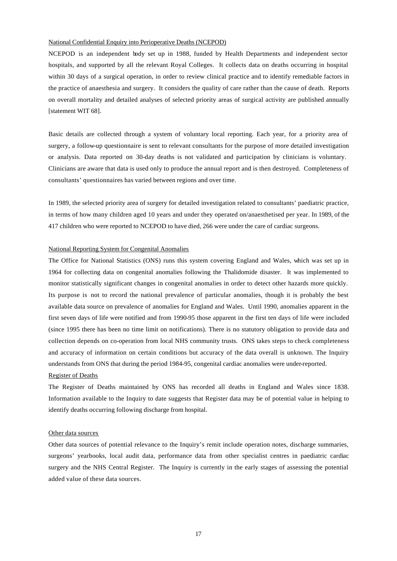#### National Confidential Enquiry into Perioperative Deaths (NCEPOD)

NCEPOD is an independent body set up in 1988, funded by Health Departments and independent sector hospitals, and supported by all the relevant Royal Colleges. It collects data on deaths occurring in hospital within 30 days of a surgical operation, in order to review clinical practice and to identify remediable factors in the practice of anaesthesia and surgery. It considers the quality of care rather than the cause of death. Reports on overall mortality and detailed analyses of selected priority areas of surgical activity are published annually [statement WIT 68].

Basic details are collected through a system of voluntary local reporting. Each year, for a priority area of surgery, a follow-up questionnaire is sent to relevant consultants for the purpose of more detailed investigation or analysis. Data reported on 30-day deaths is not validated and participation by clinicians is voluntary. Clinicians are aware that data is used only to produce the annual report and is then destroyed. Completeness of consultants' questionnaires has varied between regions and over time.

In 1989, the selected priority area of surgery for detailed investigation related to consultants' paediatric practice, in terms of how many children aged 10 years and under they operated on/anaesthetised per year. In 1989, of the 417 children who were reported to NCEPOD to have died, 266 were under the care of cardiac surgeons.

#### National Reporting System for Congenital Anomalies

The Office for National Statistics (ONS) runs this system covering England and Wales, which was set up in 1964 for collecting data on congenital anomalies following the Thalidomide disaster. It was implemented to monitor statistically significant changes in congenital anomalies in order to detect other hazards more quickly. Its purpose is not to record the national prevalence of particular anomalies, though it is probably the best available data source on prevalence of anomalies for England and Wales. Until 1990, anomalies apparent in the first seven days of life were notified and from 1990-95 those apparent in the first ten days of life were included (since 1995 there has been no time limit on notifications). There is no statutory obligation to provide data and collection depends on co-operation from local NHS community trusts. ONS takes steps to check completeness and accuracy of information on certain conditions but accuracy of the data overall is unknown. The Inquiry understands from ONS that during the period 1984-95, congenital cardiac anomalies were under-reported.

#### Register of Deaths

The Register of Deaths maintained by ONS has recorded all deaths in England and Wales since 1838. Information available to the Inquiry to date suggests that Register data may be of potential value in helping to identify deaths occurring following discharge from hospital.

#### Other data sources

Other data sources of potential relevance to the Inquiry's remit include operation notes, discharge summaries, surgeons' yearbooks, local audit data, performance data from other specialist centres in paediatric cardiac surgery and the NHS Central Register. The Inquiry is currently in the early stages of assessing the potential added value of these data sources.